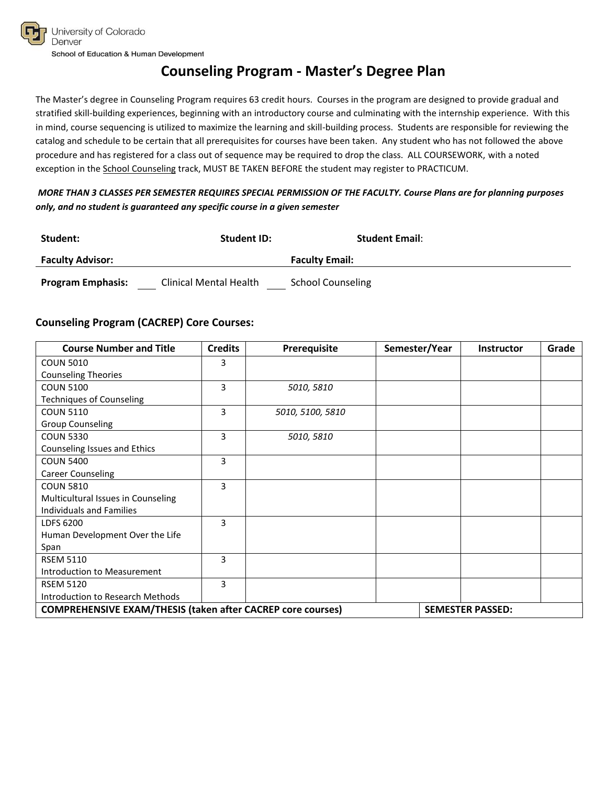# **Counseling Program - Master's Degree Plan**

The Master's degree in Counseling Program requires 63 credit hours. Courses in the program are designed to provide gradual and stratified skill-building experiences, beginning with an introductory course and culminating with the internship experience. With this in mind, course sequencing is utilized to maximize the learning and skill-building process. Students are responsible for reviewing the catalog and schedule to be certain that all prerequisites for courses have been taken. Any student who has not followed the above procedure and has registered for a class out of sequence may be required to drop the class. ALL COURSEWORK, with a noted exception in the School Counseling track, MUST BE TAKEN BEFORE the student may register to PRACTICUM.

#### *MORE THAN 3 CLASSES PER SEMESTER REQUIRES SPECIAL PERMISSION OF THE FACULTY. Course Plans are for planning purposes only, and no student is guaranteed any specific course in a given semester*

| Student:                 | <b>Student ID:</b>     | <b>Student Email:</b>    |
|--------------------------|------------------------|--------------------------|
| <b>Faculty Advisor:</b>  |                        | <b>Faculty Email:</b>    |
| <b>Program Emphasis:</b> | Clinical Mental Health | <b>School Counseling</b> |

### **Counseling Program (CACREP) Core Courses:**

| <b>Course Number and Title</b>                                     | <b>Credits</b> | <b>Prerequisite</b> | Semester/Year | <b>Instructor</b>       | Grade |
|--------------------------------------------------------------------|----------------|---------------------|---------------|-------------------------|-------|
| <b>COUN 5010</b>                                                   | 3              |                     |               |                         |       |
| <b>Counseling Theories</b>                                         |                |                     |               |                         |       |
| <b>COUN 5100</b>                                                   | $\overline{3}$ | 5010, 5810          |               |                         |       |
| <b>Techniques of Counseling</b>                                    |                |                     |               |                         |       |
| <b>COUN 5110</b>                                                   | 3              | 5010, 5100, 5810    |               |                         |       |
| <b>Group Counseling</b>                                            |                |                     |               |                         |       |
| <b>COUN 5330</b>                                                   | 3              | 5010, 5810          |               |                         |       |
| Counseling Issues and Ethics                                       |                |                     |               |                         |       |
| <b>COUN 5400</b>                                                   | 3              |                     |               |                         |       |
| <b>Career Counseling</b>                                           |                |                     |               |                         |       |
| <b>COUN 5810</b>                                                   | 3              |                     |               |                         |       |
| Multicultural Issues in Counseling                                 |                |                     |               |                         |       |
| Individuals and Families                                           |                |                     |               |                         |       |
| LDFS 6200                                                          | 3              |                     |               |                         |       |
| Human Development Over the Life                                    |                |                     |               |                         |       |
| Span                                                               |                |                     |               |                         |       |
| <b>RSEM 5110</b>                                                   | 3              |                     |               |                         |       |
| Introduction to Measurement                                        |                |                     |               |                         |       |
| <b>RSEM 5120</b>                                                   | 3              |                     |               |                         |       |
| Introduction to Research Methods                                   |                |                     |               |                         |       |
| <b>COMPREHENSIVE EXAM/THESIS (taken after CACREP core courses)</b> |                |                     |               | <b>SEMESTER PASSED:</b> |       |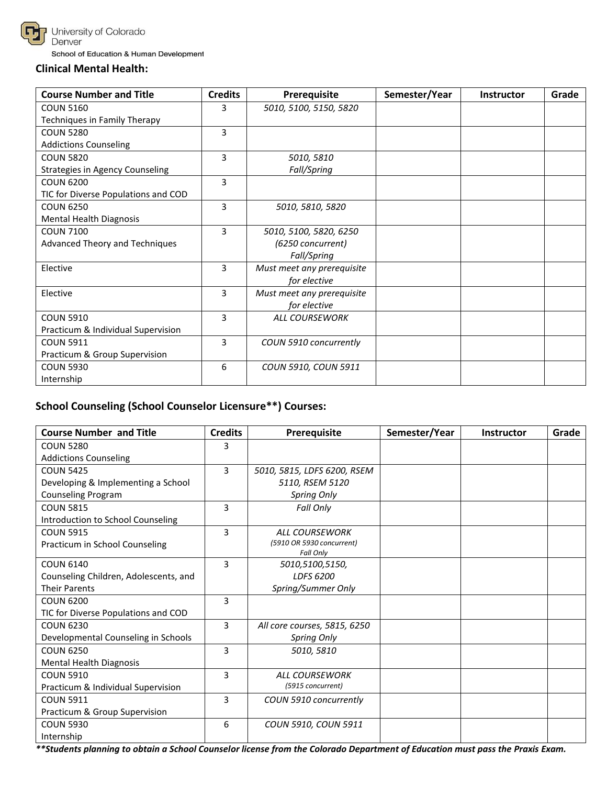

### **Clinical Mental Health:**

| <b>Course Number and Title</b>      | <b>Credits</b><br>Prerequisite |                            | Semester/Year | Instructor | Grade |
|-------------------------------------|--------------------------------|----------------------------|---------------|------------|-------|
| <b>COUN 5160</b>                    | 3                              | 5010, 5100, 5150, 5820     |               |            |       |
| Techniques in Family Therapy        |                                |                            |               |            |       |
| <b>COUN 5280</b>                    | 3                              |                            |               |            |       |
| <b>Addictions Counseling</b>        |                                |                            |               |            |       |
| <b>COUN 5820</b>                    | 3                              | 5010, 5810                 |               |            |       |
| Strategies in Agency Counseling     |                                | Fall/Spring                |               |            |       |
| <b>COUN 6200</b>                    | 3                              |                            |               |            |       |
| TIC for Diverse Populations and COD |                                |                            |               |            |       |
| <b>COUN 6250</b>                    | 3                              | 5010, 5810, 5820           |               |            |       |
| Mental Health Diagnosis             |                                |                            |               |            |       |
| <b>COUN 7100</b>                    | 3                              | 5010, 5100, 5820, 6250     |               |            |       |
| Advanced Theory and Techniques      |                                | (6250 concurrent)          |               |            |       |
|                                     |                                | Fall/Spring                |               |            |       |
| Elective                            | 3                              | Must meet any prerequisite |               |            |       |
|                                     |                                | for elective               |               |            |       |
| Elective                            | 3                              | Must meet any prerequisite |               |            |       |
|                                     |                                | for elective               |               |            |       |
| <b>COUN 5910</b>                    | 3                              | <b>ALL COURSEWORK</b>      |               |            |       |
| Practicum & Individual Supervision  |                                |                            |               |            |       |
| <b>COUN 5911</b>                    | 3                              | COUN 5910 concurrently     |               |            |       |
| Practicum & Group Supervision       |                                |                            |               |            |       |
| <b>COUN 5930</b>                    | 6                              | COUN 5910, COUN 5911       |               |            |       |
| Internship                          |                                |                            |               |            |       |

# **School Counseling (School Counselor Licensure\*\*) Courses:**

| <b>Course Number and Title</b>        | <b>Credits</b> | Prerequisite                           | Semester/Year | <b>Instructor</b> | Grade |
|---------------------------------------|----------------|----------------------------------------|---------------|-------------------|-------|
| <b>COUN 5280</b>                      | 3              |                                        |               |                   |       |
| <b>Addictions Counseling</b>          |                |                                        |               |                   |       |
| <b>COUN 5425</b>                      | 3              | 5010, 5815, LDFS 6200, RSEM            |               |                   |       |
| Developing & Implementing a School    |                | 5110, RSEM 5120                        |               |                   |       |
| Counseling Program                    |                | Spring Only                            |               |                   |       |
| <b>COUN 5815</b>                      | 3              | Fall Only                              |               |                   |       |
| Introduction to School Counseling     |                |                                        |               |                   |       |
| <b>COUN 5915</b>                      | 3              | <b>ALL COURSEWORK</b>                  |               |                   |       |
| Practicum in School Counseling        |                | (5910 OR 5930 concurrent)<br>Fall Only |               |                   |       |
| <b>COUN 6140</b>                      | 3              | 5010,5100,5150,                        |               |                   |       |
| Counseling Children, Adolescents, and |                | LDFS 6200                              |               |                   |       |
| <b>Their Parents</b>                  |                | Spring/Summer Only                     |               |                   |       |
| <b>COUN 6200</b>                      | 3              |                                        |               |                   |       |
| TIC for Diverse Populations and COD   |                |                                        |               |                   |       |
| <b>COUN 6230</b>                      | 3              | All core courses, 5815, 6250           |               |                   |       |
| Developmental Counseling in Schools   |                | Spring Only                            |               |                   |       |
| <b>COUN 6250</b>                      | 3              | 5010, 5810                             |               |                   |       |
| <b>Mental Health Diagnosis</b>        |                |                                        |               |                   |       |
| <b>COUN 5910</b>                      | 3              | <b>ALL COURSEWORK</b>                  |               |                   |       |
| Practicum & Individual Supervision    |                | (5915 concurrent)                      |               |                   |       |
| <b>COUN 5911</b>                      | 3              | COUN 5910 concurrently                 |               |                   |       |
| Practicum & Group Supervision         |                |                                        |               |                   |       |
| <b>COUN 5930</b>                      | 6              | COUN 5910, COUN 5911                   |               |                   |       |
| Internship                            |                |                                        |               |                   |       |

*\*\*Students planning to obtain a School Counselor license from the Colorado Department of Education must pass the Praxis Exam.*